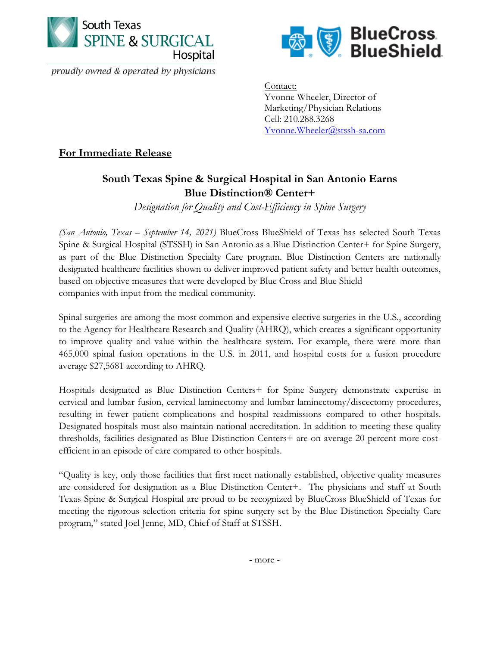

proudly owned & operated by physicians



Contact: Yvonne Wheeler, Director of Marketing/Physician Relations Cell: 210.288.3268 [Yvonne.Wheeler@stssh-sa.com](mailto:Yvonne.Wheeler@stssh-sa.com)

**For Immediate Release**

## **South Texas Spine & Surgical Hospital in San Antonio Earns Blue Distinction® Center+**

*Designation for Quality and Cost-Efficiency in Spine Surgery*

*(San Antonio, Texas – September 14, 2021)* BlueCross BlueShield of Texas has selected South Texas Spine & Surgical Hospital (STSSH) in San Antonio as a Blue Distinction Center+ for Spine Surgery, as part of the Blue Distinction Specialty Care program. Blue Distinction Centers are nationally designated healthcare facilities shown to deliver improved patient safety and better health outcomes, based on objective measures that were developed by Blue Cross and Blue Shield companies with input from the medical community.

Spinal surgeries are among the most common and expensive elective surgeries in the U.S., according to the Agency for Healthcare Research and Quality (AHRQ), which creates a significant opportunity to improve quality and value within the healthcare system. For example, there were more than 465,000 spinal fusion operations in the U.S. in 2011, and hospital costs for a fusion procedure average \$27,5681 according to AHRQ.

Hospitals designated as Blue Distinction Centers+ for Spine Surgery demonstrate expertise in cervical and lumbar fusion, cervical laminectomy and lumbar laminectomy/discectomy procedures, resulting in fewer patient complications and hospital readmissions compared to other hospitals. Designated hospitals must also maintain national accreditation. In addition to meeting these quality thresholds, facilities designated as Blue Distinction Centers+ are on average 20 percent more costefficient in an episode of care compared to other hospitals.

"Quality is key, only those facilities that first meet nationally established, objective quality measures are considered for designation as a Blue Distinction Center+. The physicians and staff at South Texas Spine & Surgical Hospital are proud to be recognized by BlueCross BlueShield of Texas for meeting the rigorous selection criteria for spine surgery set by the Blue Distinction Specialty Care program," stated Joel Jenne, MD, Chief of Staff at STSSH.

- more -